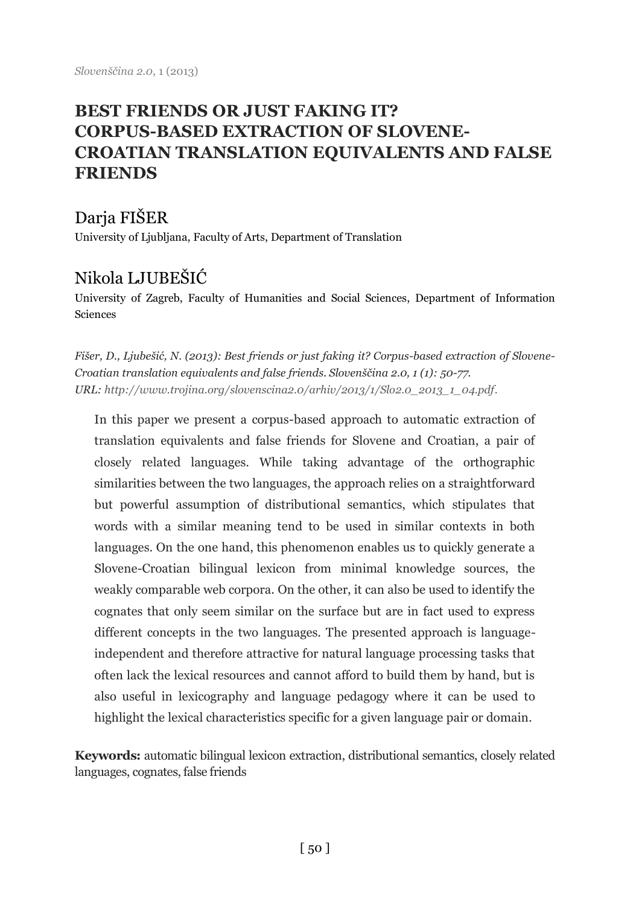# **BEST FRIENDS OR JUST FAKING IT? CORPUS-BASED EXTRACTION OF SLOVENE-CROATIAN TRANSLATION EQUIVALENTS AND FALSE FRIENDS**

## Darja FIŠER

University of Ljubljana, Faculty of Arts, Department of Translation

# Nikola LJUBEŠIĆ

University of Zagreb, Faculty of Humanities and Social Sciences, Department of Information Sciences

*Fišer, D., Ljubešić, N. (2013): Best friends or just faking it? Corpus-based extraction of Slovene-Croatian translation equivalents and false friends. Slovenščina 2.0, 1 (1): 50-77. URL[: http://www.trojina.org/slovenscina2.0/arhiv/2013/1/Slo2.0\\_2013\\_1\\_04.pdf.](http://www.trojina.org/slovenscina2.0/arhiv/2013/1/Slo2.0_2013_1_04.pdf)*

In this paper we present a corpus-based approach to automatic extraction of translation equivalents and false friends for Slovene and Croatian, a pair of closely related languages. While taking advantage of the orthographic similarities between the two languages, the approach relies on a straightforward but powerful assumption of distributional semantics, which stipulates that words with a similar meaning tend to be used in similar contexts in both languages. On the one hand, this phenomenon enables us to quickly generate a Slovene-Croatian bilingual lexicon from minimal knowledge sources, the weakly comparable web corpora. On the other, it can also be used to identify the cognates that only seem similar on the surface but are in fact used to express different concepts in the two languages. The presented approach is languageindependent and therefore attractive for natural language processing tasks that often lack the lexical resources and cannot afford to build them by hand, but is also useful in lexicography and language pedagogy where it can be used to highlight the lexical characteristics specific for a given language pair or domain.

**Keywords:** automatic bilingual lexicon extraction, distributional semantics, closely related languages, cognates, false friends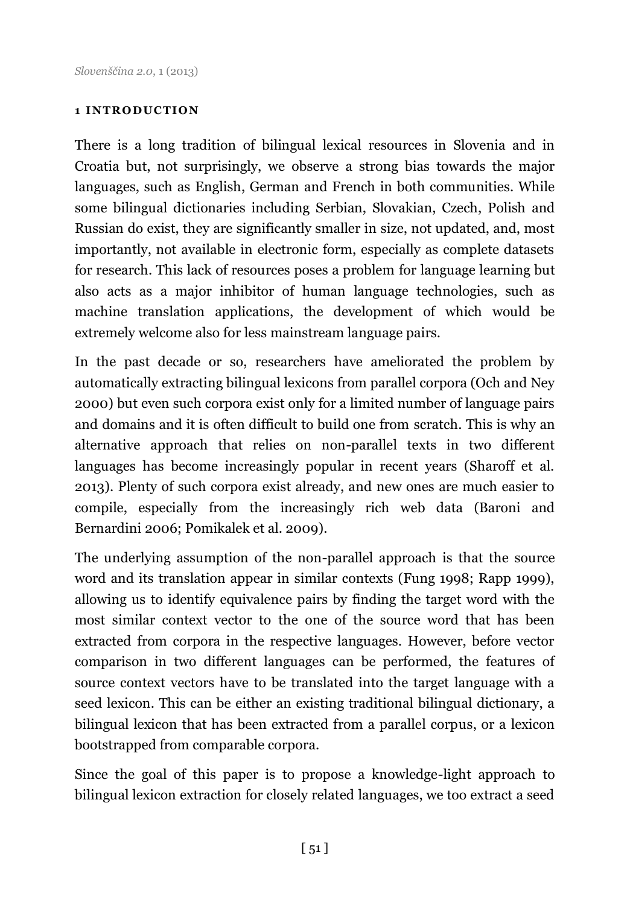#### **1 INTRODUCTION**

There is a long tradition of bilingual lexical resources in Slovenia and in Croatia but, not surprisingly, we observe a strong bias towards the major languages, such as English, German and French in both communities. While some bilingual dictionaries including Serbian, Slovakian, Czech, Polish and Russian do exist, they are significantly smaller in size, not updated, and, most importantly, not available in electronic form, especially as complete datasets for research. This lack of resources poses a problem for language learning but also acts as a major inhibitor of human language technologies, such as machine translation applications, the development of which would be extremely welcome also for less mainstream language pairs.

In the past decade or so, researchers have ameliorated the problem by automatically extracting bilingual lexicons from parallel corpora (Och and Ney 2000) but even such corpora exist only for a limited number of language pairs and domains and it is often difficult to build one from scratch. This is why an alternative approach that relies on non-parallel texts in two different languages has become increasingly popular in recent years (Sharoff et al. 2013). Plenty of such corpora exist already, and new ones are much easier to compile, especially from the increasingly rich web data (Baroni and Bernardini 2006; Pomikalek et al. 2009).

The underlying assumption of the non-parallel approach is that the source word and its translation appear in similar contexts (Fung 1998; Rapp 1999), allowing us to identify equivalence pairs by finding the target word with the most similar context vector to the one of the source word that has been extracted from corpora in the respective languages. However, before vector comparison in two different languages can be performed, the features of source context vectors have to be translated into the target language with a seed lexicon. This can be either an existing traditional bilingual dictionary, a bilingual lexicon that has been extracted from a parallel corpus, or a lexicon bootstrapped from comparable corpora.

Since the goal of this paper is to propose a knowledge-light approach to bilingual lexicon extraction for closely related languages, we too extract a seed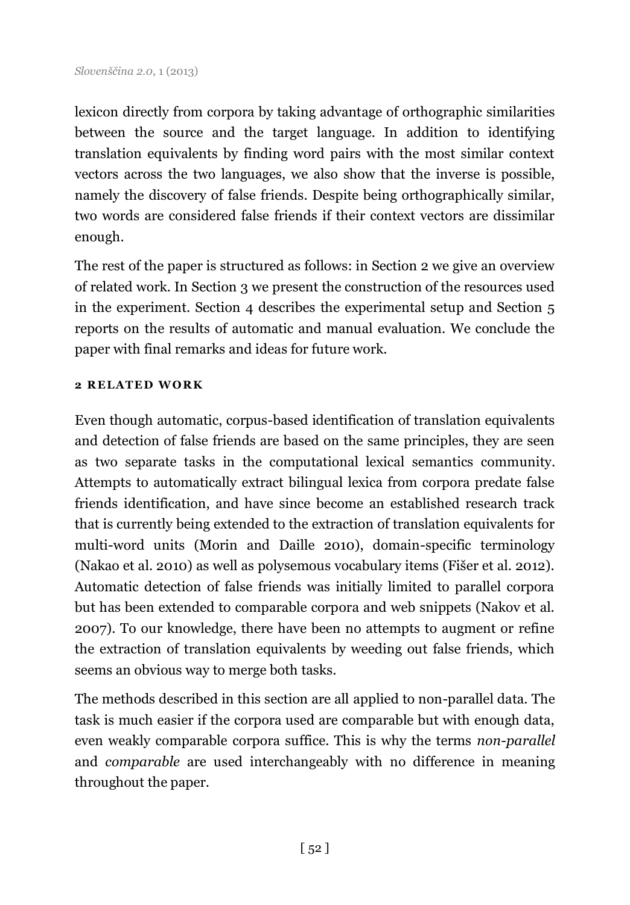lexicon directly from corpora by taking advantage of orthographic similarities between the source and the target language. In addition to identifying translation equivalents by finding word pairs with the most similar context vectors across the two languages, we also show that the inverse is possible, namely the discovery of false friends. Despite being orthographically similar, two words are considered false friends if their context vectors are dissimilar enough.

The rest of the paper is structured as follows: in Section 2 we give an overview of related work. In Section 3 we present the construction of the resources used in the experiment. Section 4 describes the experimental setup and Section 5 reports on the results of automatic and manual evaluation. We conclude the paper with final remarks and ideas for future work.

#### **2 RELATED WORK**

Even though automatic, corpus-based identification of translation equivalents and detection of false friends are based on the same principles, they are seen as two separate tasks in the computational lexical semantics community. Attempts to automatically extract bilingual lexica from corpora predate false friends identification, and have since become an established research track that is currently being extended to the extraction of translation equivalents for multi-word units (Morin and Daille 2010), domain-specific terminology (Nakao et al. 2010) as well as polysemous vocabulary items (Fišer et al. 2012). Automatic detection of false friends was initially limited to parallel corpora but has been extended to comparable corpora and web snippets (Nakov et al. 2007). To our knowledge, there have been no attempts to augment or refine the extraction of translation equivalents by weeding out false friends, which seems an obvious way to merge both tasks.

The methods described in this section are all applied to non-parallel data. The task is much easier if the corpora used are comparable but with enough data, even weakly comparable corpora suffice. This is why the terms *non-parallel*  and *comparable* are used interchangeably with no difference in meaning throughout the paper.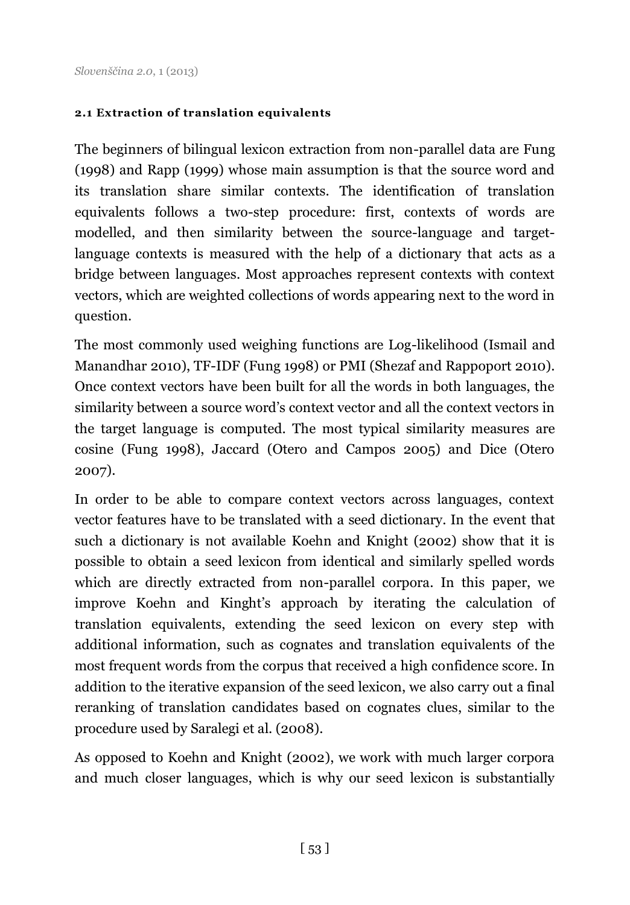### **2.1 Extraction of translation equivalents**

The beginners of bilingual lexicon extraction from non-parallel data are Fung (1998) and Rapp (1999) whose main assumption is that the source word and its translation share similar contexts. The identification of translation equivalents follows a two-step procedure: first, contexts of words are modelled, and then similarity between the source-language and targetlanguage contexts is measured with the help of a dictionary that acts as a bridge between languages. Most approaches represent contexts with context vectors, which are weighted collections of words appearing next to the word in question.

The most commonly used weighing functions are Log-likelihood (Ismail and Manandhar 2010), TF-IDF (Fung 1998) or PMI (Shezaf and Rappoport 2010). Once context vectors have been built for all the words in both languages, the similarity between a source word's context vector and all the context vectors in the target language is computed. The most typical similarity measures are cosine (Fung 1998), Jaccard (Otero and Campos 2005) and Dice (Otero 2007).

In order to be able to compare context vectors across languages, context vector features have to be translated with a seed dictionary. In the event that such a dictionary is not available Koehn and Knight (2002) show that it is possible to obtain a seed lexicon from identical and similarly spelled words which are directly extracted from non-parallel corpora. In this paper, we improve Koehn and Kinght's approach by iterating the calculation of translation equivalents, extending the seed lexicon on every step with additional information, such as cognates and translation equivalents of the most frequent words from the corpus that received a high confidence score. In addition to the iterative expansion of the seed lexicon, we also carry out a final reranking of translation candidates based on cognates clues, similar to the procedure used by Saralegi et al. (2008).

As opposed to Koehn and Knight (2002), we work with much larger corpora and much closer languages, which is why our seed lexicon is substantially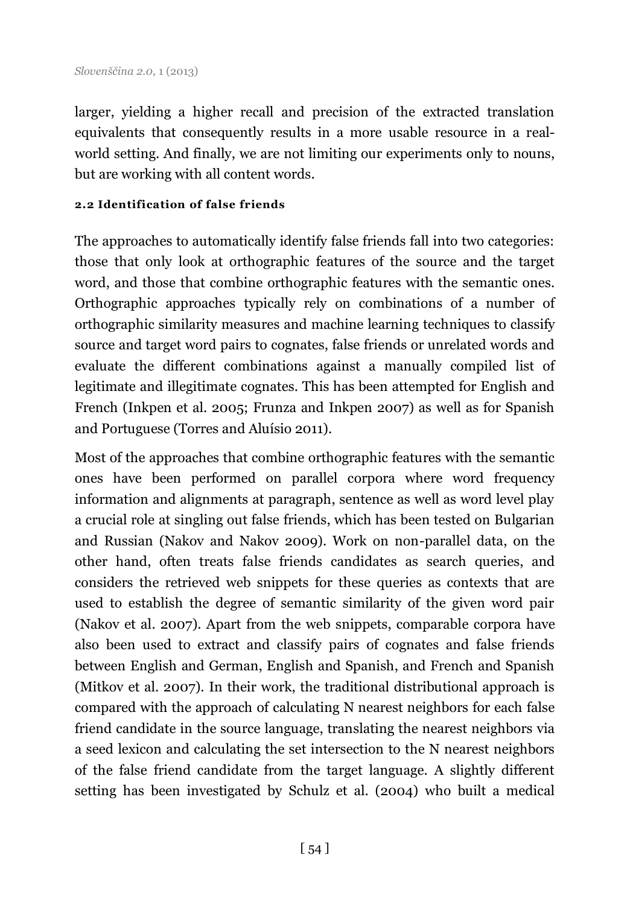larger, yielding a higher recall and precision of the extracted translation equivalents that consequently results in a more usable resource in a realworld setting. And finally, we are not limiting our experiments only to nouns, but are working with all content words.

#### **2.2 Identification of false friends**

The approaches to automatically identify false friends fall into two categories: those that only look at orthographic features of the source and the target word, and those that combine orthographic features with the semantic ones. Orthographic approaches typically rely on combinations of a number of orthographic similarity measures and machine learning techniques to classify source and target word pairs to cognates, false friends or unrelated words and evaluate the different combinations against a manually compiled list of legitimate and illegitimate cognates. This has been attempted for English and French (Inkpen et al. 2005; Frunza and Inkpen 2007) as well as for Spanish and Portuguese (Torres and Aluísio 2011).

Most of the approaches that combine orthographic features with the semantic ones have been performed on parallel corpora where word frequency information and alignments at paragraph, sentence as well as word level play a crucial role at singling out false friends, which has been tested on Bulgarian and Russian (Nakov and Nakov 2009). Work on non-parallel data, on the other hand, often treats false friends candidates as search queries, and considers the retrieved web snippets for these queries as contexts that are used to establish the degree of semantic similarity of the given word pair (Nakov et al. 2007). Apart from the web snippets, comparable corpora have also been used to extract and classify pairs of cognates and false friends between English and German, English and Spanish, and French and Spanish (Mitkov et al. 2007). In their work, the traditional distributional approach is compared with the approach of calculating N nearest neighbors for each false friend candidate in the source language, translating the nearest neighbors via a seed lexicon and calculating the set intersection to the N nearest neighbors of the false friend candidate from the target language. A slightly different setting has been investigated by Schulz et al. (2004) who built a medical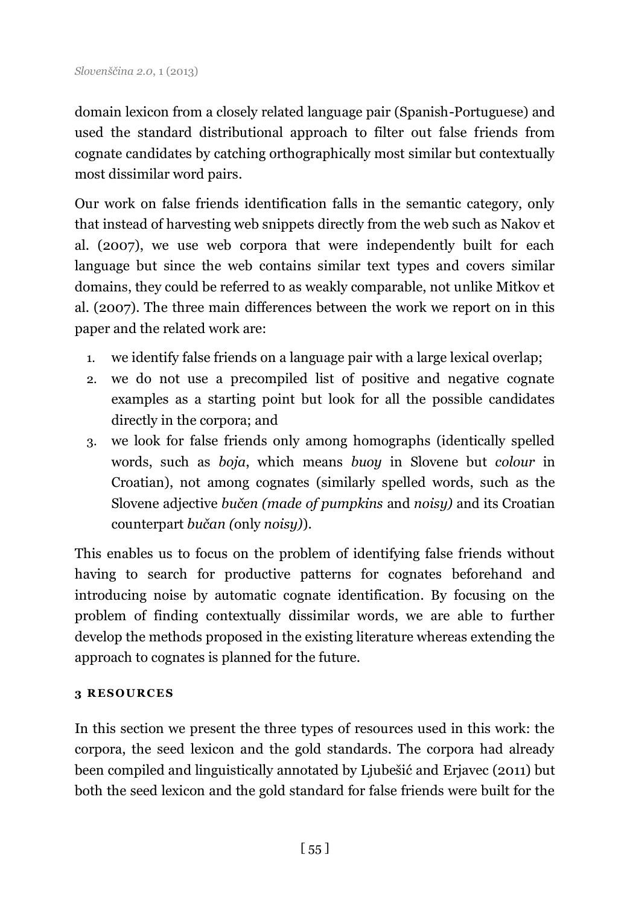domain lexicon from a closely related language pair (Spanish-Portuguese) and used the standard distributional approach to filter out false friends from cognate candidates by catching orthographically most similar but contextually most dissimilar word pairs.

Our work on false friends identification falls in the semantic category, only that instead of harvesting web snippets directly from the web such as Nakov et al. (2007), we use web corpora that were independently built for each language but since the web contains similar text types and covers similar domains, they could be referred to as weakly comparable, not unlike Mitkov et al. (2007). The three main differences between the work we report on in this paper and the related work are:

- 1. we identify false friends on a language pair with a large lexical overlap;
- 2. we do not use a precompiled list of positive and negative cognate examples as a starting point but look for all the possible candidates directly in the corpora; and
- 3. we look for false friends only among homographs (identically spelled words, such as *boja*, which means *buoy* in Slovene but *colour* in Croatian), not among cognates (similarly spelled words, such as the Slovene adjective *bučen (made of pumpkins* and *noisy)* and its Croatian counterpart *bučan (*only *noisy)*).

This enables us to focus on the problem of identifying false friends without having to search for productive patterns for cognates beforehand and introducing noise by automatic cognate identification. By focusing on the problem of finding contextually dissimilar words, we are able to further develop the methods proposed in the existing literature whereas extending the approach to cognates is planned for the future.

### **3 R E SO UR C E S**

In this section we present the three types of resources used in this work: the corpora, the seed lexicon and the gold standards. The corpora had already been compiled and linguistically annotated by Ljubešić and Erjavec (2011) but both the seed lexicon and the gold standard for false friends were built for the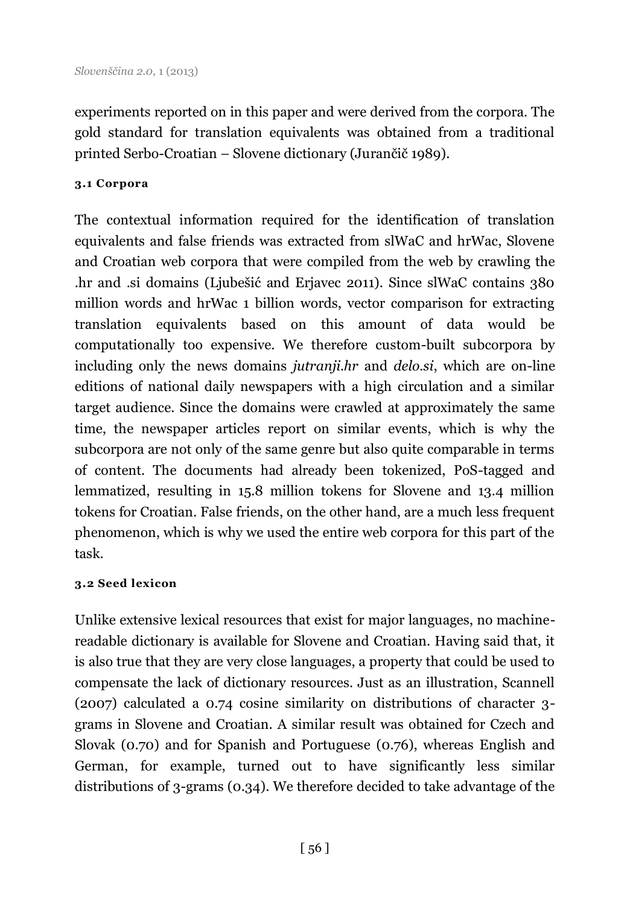experiments reported on in this paper and were derived from the corpora. The gold standard for translation equivalents was obtained from a traditional printed Serbo-Croatian – Slovene dictionary (Jurančič 1989).

#### **3.1 Corpora**

The contextual information required for the identification of translation equivalents and false friends was extracted from slWaC and hrWac, Slovene and Croatian web corpora that were compiled from the web by crawling the .hr and .si domains (Ljubešić and Erjavec 2011). Since slWaC contains 380 million words and hrWac 1 billion words, vector comparison for extracting translation equivalents based on this amount of data would be computationally too expensive. We therefore custom-built subcorpora by including only the news domains *jutranji.hr* and *delo.si*, which are on-line editions of national daily newspapers with a high circulation and a similar target audience. Since the domains were crawled at approximately the same time, the newspaper articles report on similar events, which is why the subcorpora are not only of the same genre but also quite comparable in terms of content. The documents had already been tokenized, PoS-tagged and lemmatized, resulting in 15.8 million tokens for Slovene and 13.4 million tokens for Croatian. False friends, on the other hand, are a much less frequent phenomenon, which is why we used the entire web corpora for this part of the task.

#### **3.2 Seed lexicon**

Unlike extensive lexical resources that exist for major languages, no machinereadable dictionary is available for Slovene and Croatian. Having said that, it is also true that they are very close languages, a property that could be used to compensate the lack of dictionary resources. Just as an illustration, Scannell (2007) calculated a 0.74 cosine similarity on distributions of character 3 grams in Slovene and Croatian. A similar result was obtained for Czech and Slovak (0.70) and for Spanish and Portuguese (0.76), whereas English and German, for example, turned out to have significantly less similar distributions of 3-grams (0.34). We therefore decided to take advantage of the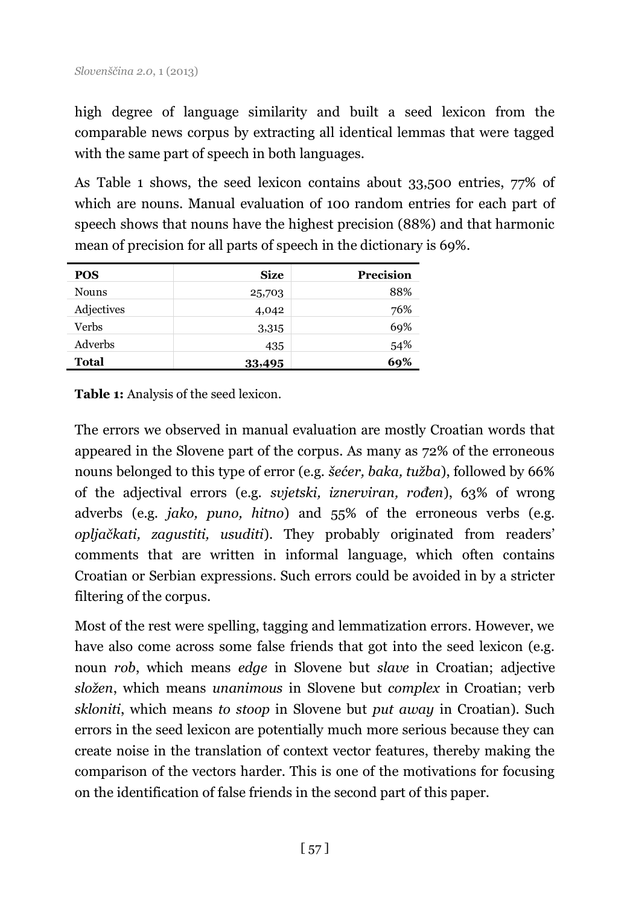high degree of language similarity and built a seed lexicon from the comparable news corpus by extracting all identical lemmas that were tagged with the same part of speech in both languages.

As Table 1 shows, the seed lexicon contains about 33,500 entries, 77% of which are nouns. Manual evaluation of 100 random entries for each part of speech shows that nouns have the highest precision (88%) and that harmonic mean of precision for all parts of speech in the dictionary is 69%.

| <b>POS</b>   | <b>Size</b> | Precision |
|--------------|-------------|-----------|
| <b>Nouns</b> | 25,703      | 88%       |
| Adjectives   | 4,042       | 76%       |
| Verbs        | 3,315       | 69%       |
| Adverbs      | 435         | 54%       |
| Total        | 33,495      | 69%       |

**Table 1:** Analysis of the seed lexicon.

The errors we observed in manual evaluation are mostly Croatian words that appeared in the Slovene part of the corpus. As many as 72% of the erroneous nouns belonged to this type of error (e.g. *šećer, baka, tužba*), followed by 66% of the adjectival errors (e.g. *svjetski, iznerviran, rođen*), 63% of wrong adverbs (e.g. *jako, puno, hitno*) and 55% of the erroneous verbs (e.g. *opljačkati, zagustiti, usuditi*). They probably originated from readers' comments that are written in informal language, which often contains Croatian or Serbian expressions. Such errors could be avoided in by a stricter filtering of the corpus.

Most of the rest were spelling, tagging and lemmatization errors. However, we have also come across some false friends that got into the seed lexicon (e.g. noun *rob*, which means *edge* in Slovene but *slave* in Croatian; adjective *složen*, which means *unanimous* in Slovene but *complex* in Croatian; verb *skloniti*, which means *to stoop* in Slovene but *put away* in Croatian). Such errors in the seed lexicon are potentially much more serious because they can create noise in the translation of context vector features, thereby making the comparison of the vectors harder. This is one of the motivations for focusing on the identification of false friends in the second part of this paper.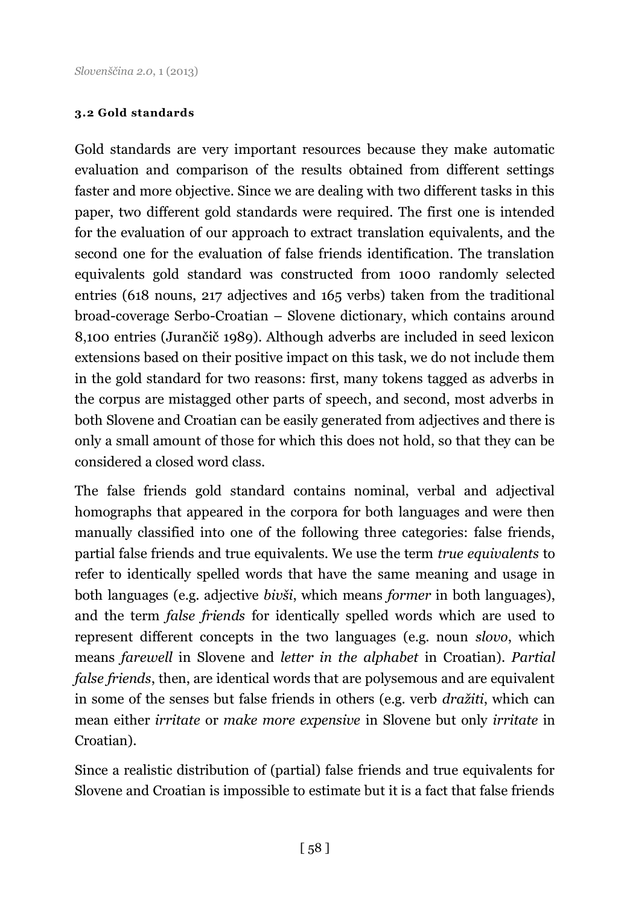#### **3.2 Gold standards**

Gold standards are very important resources because they make automatic evaluation and comparison of the results obtained from different settings faster and more objective. Since we are dealing with two different tasks in this paper, two different gold standards were required. The first one is intended for the evaluation of our approach to extract translation equivalents, and the second one for the evaluation of false friends identification. The translation equivalents gold standard was constructed from 1000 randomly selected entries (618 nouns, 217 adjectives and 165 verbs) taken from the traditional broad-coverage Serbo-Croatian – Slovene dictionary, which contains around 8,100 entries (Jurančič 1989). Although adverbs are included in seed lexicon extensions based on their positive impact on this task, we do not include them in the gold standard for two reasons: first, many tokens tagged as adverbs in the corpus are mistagged other parts of speech, and second, most adverbs in both Slovene and Croatian can be easily generated from adjectives and there is only a small amount of those for which this does not hold, so that they can be considered a closed word class.

The false friends gold standard contains nominal, verbal and adjectival homographs that appeared in the corpora for both languages and were then manually classified into one of the following three categories: false friends, partial false friends and true equivalents. We use the term *true equivalents* to refer to identically spelled words that have the same meaning and usage in both languages (e.g. adjective *bivši*, which means *former* in both languages), and the term *false friends* for identically spelled words which are used to represent different concepts in the two languages (e.g. noun *slovo*, which means *farewell* in Slovene and *letter in the alphabet* in Croatian). *Partial false friends*, then, are identical words that are polysemous and are equivalent in some of the senses but false friends in others (e.g. verb *dražiti*, which can mean either *irritate* or *make more expensive* in Slovene but only *irritate* in Croatian).

Since a realistic distribution of (partial) false friends and true equivalents for Slovene and Croatian is impossible to estimate but it is a fact that false friends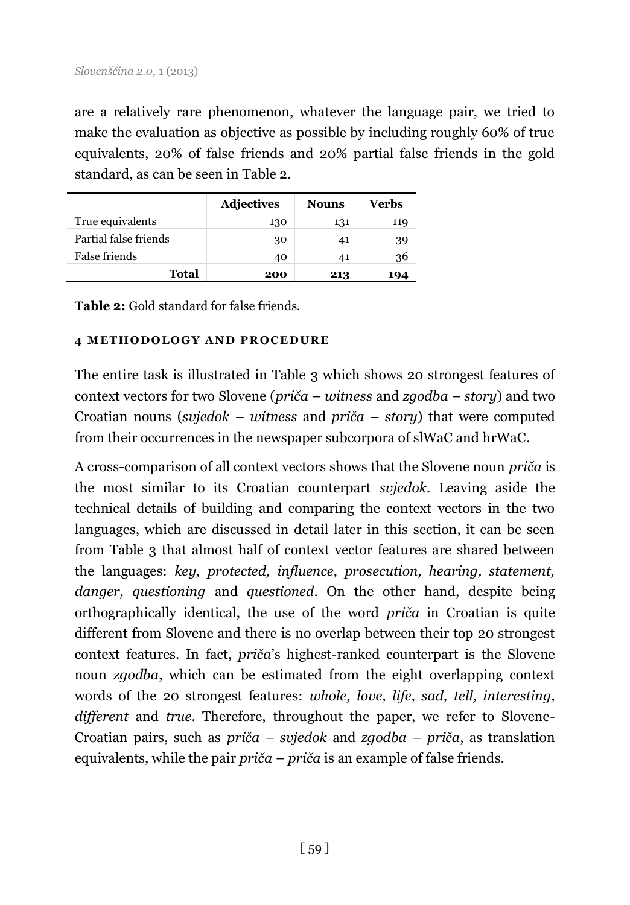are a relatively rare phenomenon, whatever the language pair, we tried to make the evaluation as objective as possible by including roughly 60% of true equivalents, 20% of false friends and 20% partial false friends in the gold standard, as can be seen in Table 2.

|                       | <b>Adjectives</b> | <b>Nouns</b> | Verbs |
|-----------------------|-------------------|--------------|-------|
| True equivalents      | 130               | 131          | 119   |
| Partial false friends | 30                | 41           | 39    |
| False friends         | 40                | 41           | 36    |
| Total                 | 200               | 213          | 194   |

**Table 2:** Gold standard for false friends.

#### **4 ME TH O DO LO GY AN D PR O C E DUR E**

The entire task is illustrated in Table 3 which shows 20 strongest features of context vectors for two Slovene (*priča – witness* and *zgodba – story*) and two Croatian nouns (*svjedok – witness* and *priča – story*) that were computed from their occurrences in the newspaper subcorpora of slWaC and hrWaC.

A cross-comparison of all context vectors shows that the Slovene noun *priča* is the most similar to its Croatian counterpart *svjedok*. Leaving aside the technical details of building and comparing the context vectors in the two languages, which are discussed in detail later in this section, it can be seen from Table 3 that almost half of context vector features are shared between the languages: *key, protected, influence, prosecution, hearing, statement, danger, questioning* and *questioned*. On the other hand, despite being orthographically identical, the use of the word *priča* in Croatian is quite different from Slovene and there is no overlap between their top 20 strongest context features. In fact, *priča*'s highest-ranked counterpart is the Slovene noun *zgodba*, which can be estimated from the eight overlapping context words of the 20 strongest features: *whole, love, life, sad, tell, interesting, different* and *true*. Therefore, throughout the paper, we refer to Slovene-Croatian pairs, such as *priča – svjedok* and *zgodba – priča*, as translation equivalents, while the pair *priča – priča* is an example of false friends.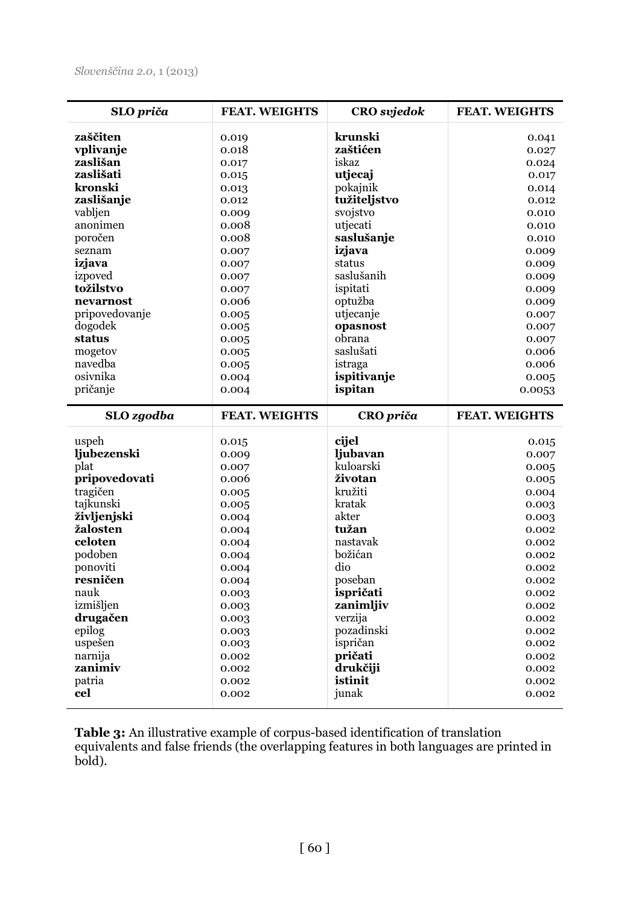| SLO priča           | <b>FEAT. WEIGHTS</b> | <b>CRO</b> svjedok | <b>FEAT. WEIGHTS</b> |
|---------------------|----------------------|--------------------|----------------------|
| zaščiten            | 0.019                | krunski            | 0.041                |
| vplivanje           | 0.018                | zaštićen           | 0.027                |
| zaslišan            | 0.017                | iskaz              | 0.024                |
| zaslišati           | 0.015                | utjecaj            | 0.017                |
| kronski             | 0.013                | pokajnik           | 0.014                |
| zaslišanje          | 0.012                | tužiteljstvo       | 0.012                |
| vabljen             | 0.009                | svojstvo           | 0.010                |
| anonimen            | 0.008                | utjecati           | 0.010                |
| poročen             | 0.008                | saslušanje         | 0.010                |
| seznam              | 0.007                | izjava             | 0.009                |
| izjava              | 0.007                | status             | 0.009                |
| izpoved             | 0.007                | saslušanih         | 0.009                |
| tožilstvo           | 0.007                | ispitati           | 0.009                |
| nevarnost           | 0.006                | optužba            | 0.009                |
| pripovedovanje      | 0.005                | utjecanje          | 0.007                |
| dogodek             | 0.005                | opasnost           | 0.007                |
| status              | 0.005                | obrana             | 0.007                |
| mogetov             | 0.005                | saslušati          | 0.006                |
| navedba             | 0.005                | istraga            | 0.006                |
| osiynika            | 0.004                | ispitivanje        | 0.005                |
| pričanje            | 0.004                | ispitan            | 0.0053               |
|                     |                      |                    |                      |
| SLO zgodba          | <b>FEAT. WEIGHTS</b> | CRO priča          | <b>FEAT. WEIGHTS</b> |
| uspeh               | 0.015                | cijel              | 0.015                |
|                     |                      | ljubavan           |                      |
| ljubezenski<br>plat | 0.009<br>0.007       | kuloarski          | 0.007<br>0.005       |
| pripovedovati       | 0.006                | životan            | 0.005                |
| tragičen            | 0.005                | kružiti            | 0.004                |
| taikunski           | 0.005                | kratak             | 0.003                |
| življenjski         | 0.004                | akter              | 0.003                |
| žalosten            | 0.004                | tužan              | 0.002                |
| celoten             | 0.004                | nastavak           | 0.002                |
| podoben             | 0.004                | božićan            | 0.002                |
| ponoviti            | 0.004                | dio                | 0.002                |
| resničen            | 0.004                | poseban            | 0.002                |
| nauk                | 0.003                | ispričati          | 0.002                |
| izmišljen           | 0.003                | zanimljiv          | 0.002                |
| drugačen            | 0.003                | verzija            | 0.002                |
| epilog              | 0.003                | pozadinski         | 0.002                |
| uspešen             | 0.003                | ispričan           | 0.002                |
| narnija             | 0.002                | pričati            | 0.002                |
| zanimiv             | 0.002                | drukčiji           | 0.002                |
| patria<br>cel       | 0.002                | istinit<br>junak   | 0.002                |

**Table 3:** An illustrative example of corpus-based identification of translation equivalents and false friends (the overlapping features in both languages are printed in bold).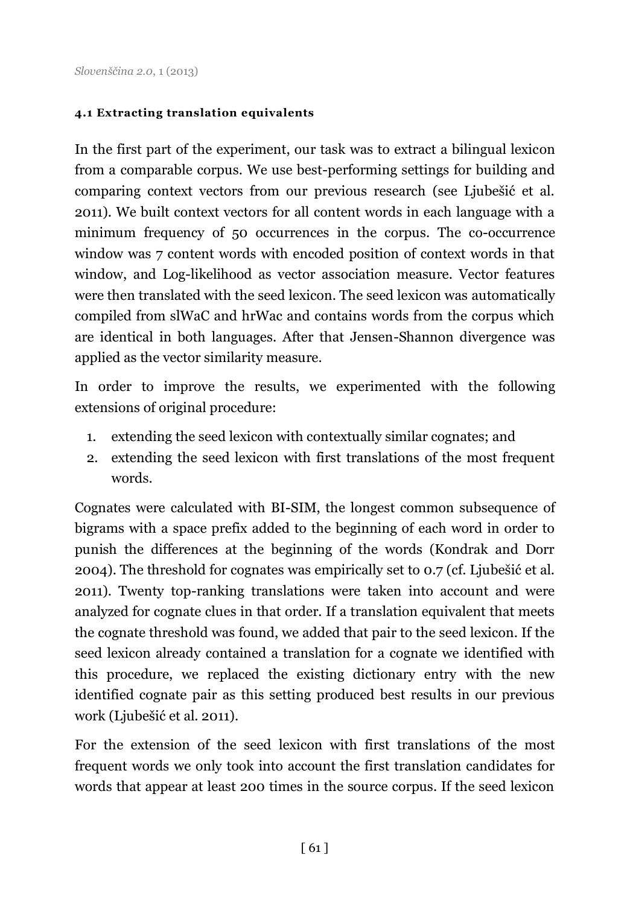#### **4.1 Extracting translation equivalents**

In the first part of the experiment, our task was to extract a bilingual lexicon from a comparable corpus. We use best-performing settings for building and comparing context vectors from our previous research (see Ljubešić et al. 2011). We built context vectors for all content words in each language with a minimum frequency of 50 occurrences in the corpus. The co-occurrence window was 7 content words with encoded position of context words in that window, and Log-likelihood as vector association measure. Vector features were then translated with the seed lexicon. The seed lexicon was automatically compiled from slWaC and hrWac and contains words from the corpus which are identical in both languages. After that Jensen-Shannon divergence was applied as the vector similarity measure.

In order to improve the results, we experimented with the following extensions of original procedure:

- 1. extending the seed lexicon with contextually similar cognates; and
- 2. extending the seed lexicon with first translations of the most frequent words.

Cognates were calculated with BI-SIM, the longest common subsequence of bigrams with a space prefix added to the beginning of each word in order to punish the differences at the beginning of the words (Kondrak and Dorr 2004). The threshold for cognates was empirically set to 0.7 (cf. Ljubešić et al. 2011). Twenty top-ranking translations were taken into account and were analyzed for cognate clues in that order. If a translation equivalent that meets the cognate threshold was found, we added that pair to the seed lexicon. If the seed lexicon already contained a translation for a cognate we identified with this procedure, we replaced the existing dictionary entry with the new identified cognate pair as this setting produced best results in our previous work (Ljubešić et al. 2011).

For the extension of the seed lexicon with first translations of the most frequent words we only took into account the first translation candidates for words that appear at least 200 times in the source corpus. If the seed lexicon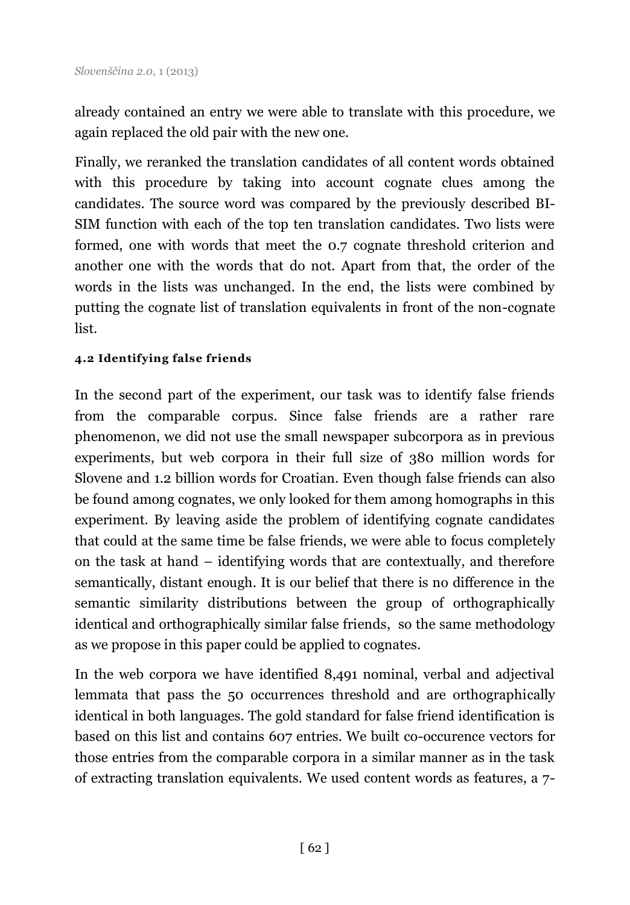already contained an entry we were able to translate with this procedure, we again replaced the old pair with the new one.

Finally, we reranked the translation candidates of all content words obtained with this procedure by taking into account cognate clues among the candidates. The source word was compared by the previously described BI-SIM function with each of the top ten translation candidates. Two lists were formed, one with words that meet the 0.7 cognate threshold criterion and another one with the words that do not. Apart from that, the order of the words in the lists was unchanged. In the end, the lists were combined by putting the cognate list of translation equivalents in front of the non-cognate list.

#### **4.2 Identifying false friends**

In the second part of the experiment, our task was to identify false friends from the comparable corpus. Since false friends are a rather rare phenomenon, we did not use the small newspaper subcorpora as in previous experiments, but web corpora in their full size of 380 million words for Slovene and 1.2 billion words for Croatian. Even though false friends can also be found among cognates, we only looked for them among homographs in this experiment. By leaving aside the problem of identifying cognate candidates that could at the same time be false friends, we were able to focus completely on the task at hand – identifying words that are contextually, and therefore semantically, distant enough. It is our belief that there is no difference in the semantic similarity distributions between the group of orthographically identical and orthographically similar false friends, so the same methodology as we propose in this paper could be applied to cognates.

In the web corpora we have identified 8,491 nominal, verbal and adjectival lemmata that pass the 50 occurrences threshold and are orthographically identical in both languages. The gold standard for false friend identification is based on this list and contains 607 entries. We built co-occurence vectors for those entries from the comparable corpora in a similar manner as in the task of extracting translation equivalents. We used content words as features, a 7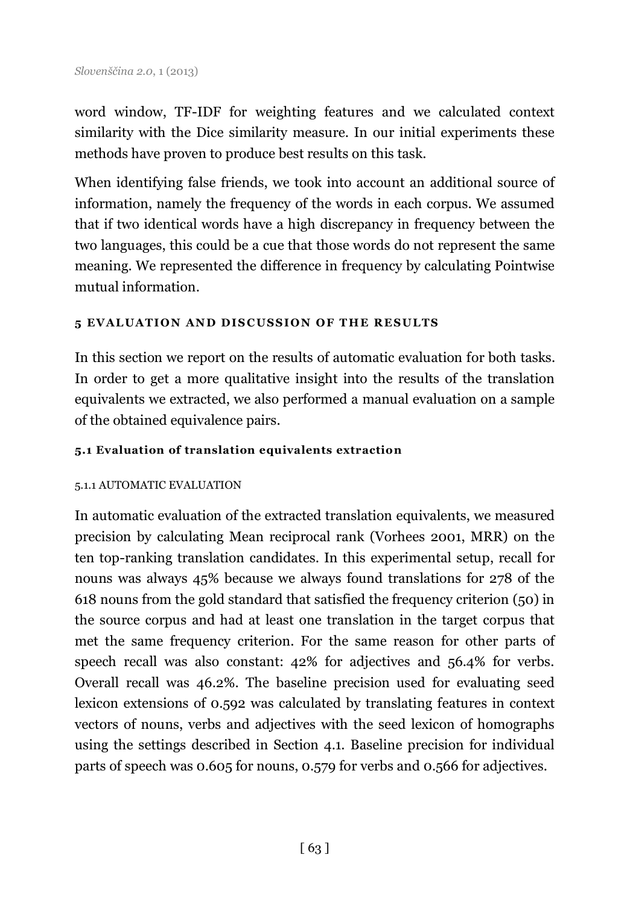word window, TF-IDF for weighting features and we calculated context similarity with the Dice similarity measure. In our initial experiments these methods have proven to produce best results on this task.

When identifying false friends, we took into account an additional source of information, namely the frequency of the words in each corpus. We assumed that if two identical words have a high discrepancy in frequency between the two languages, this could be a cue that those words do not represent the same meaning. We represented the difference in frequency by calculating Pointwise mutual information.

### **5 E VAL UATI O N AN D DI S C USSI O N O F T H E R E SULTS**

In this section we report on the results of automatic evaluation for both tasks. In order to get a more qualitative insight into the results of the translation equivalents we extracted, we also performed a manual evaluation on a sample of the obtained equivalence pairs.

### **5.1 Evaluation of translation equivalents extraction**

### 5.1.1 AUTOMATIC EVALUATION

In automatic evaluation of the extracted translation equivalents, we measured precision by calculating Mean reciprocal rank (Vorhees 2001, MRR) on the ten top-ranking translation candidates. In this experimental setup, recall for nouns was always 45% because we always found translations for 278 of the 618 nouns from the gold standard that satisfied the frequency criterion (50) in the source corpus and had at least one translation in the target corpus that met the same frequency criterion. For the same reason for other parts of speech recall was also constant: 42% for adjectives and 56.4% for verbs. Overall recall was 46.2%. The baseline precision used for evaluating seed lexicon extensions of 0.592 was calculated by translating features in context vectors of nouns, verbs and adjectives with the seed lexicon of homographs using the settings described in Section 4.1. Baseline precision for individual parts of speech was 0.605 for nouns, 0.579 for verbs and 0.566 for adjectives.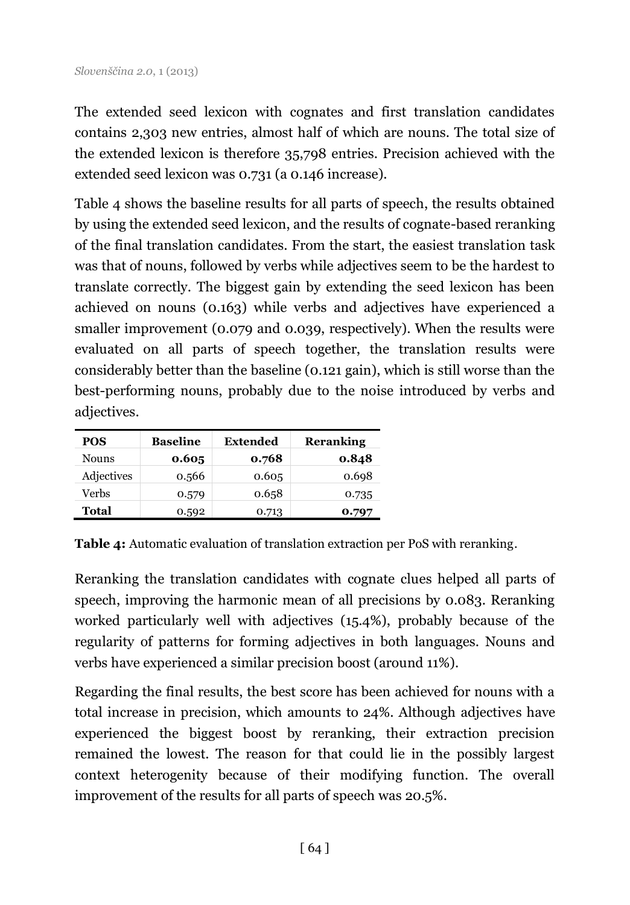The extended seed lexicon with cognates and first translation candidates contains 2,303 new entries, almost half of which are nouns. The total size of the extended lexicon is therefore 35,798 entries. Precision achieved with the extended seed lexicon was 0.731 (a 0.146 increase).

Table 4 shows the baseline results for all parts of speech, the results obtained by using the extended seed lexicon, and the results of cognate-based reranking of the final translation candidates. From the start, the easiest translation task was that of nouns, followed by verbs while adjectives seem to be the hardest to translate correctly. The biggest gain by extending the seed lexicon has been achieved on nouns (0.163) while verbs and adjectives have experienced a smaller improvement (0.079 and 0.039, respectively). When the results were evaluated on all parts of speech together, the translation results were considerably better than the baseline (0.121 gain), which is still worse than the best-performing nouns, probably due to the noise introduced by verbs and adjectives.

| <b>POS</b> | <b>Baseline</b> | Extended | <b>Reranking</b> |
|------------|-----------------|----------|------------------|
| Nouns      | 0.605           | 0.768    | 0.848            |
| Adjectives | 0.566           | 0.605    | 0.698            |
| Verbs      | 0.579           | 0.658    | 0.735            |
| Total      | 0.592           | 0.713    | 0.797            |

**Table 4:** Automatic evaluation of translation extraction per PoS with reranking.

Reranking the translation candidates with cognate clues helped all parts of speech, improving the harmonic mean of all precisions by 0.083. Reranking worked particularly well with adjectives (15.4%), probably because of the regularity of patterns for forming adjectives in both languages. Nouns and verbs have experienced a similar precision boost (around 11%).

Regarding the final results, the best score has been achieved for nouns with a total increase in precision, which amounts to 24%. Although adjectives have experienced the biggest boost by reranking, their extraction precision remained the lowest. The reason for that could lie in the possibly largest context heterogenity because of their modifying function. The overall improvement of the results for all parts of speech was 20.5%.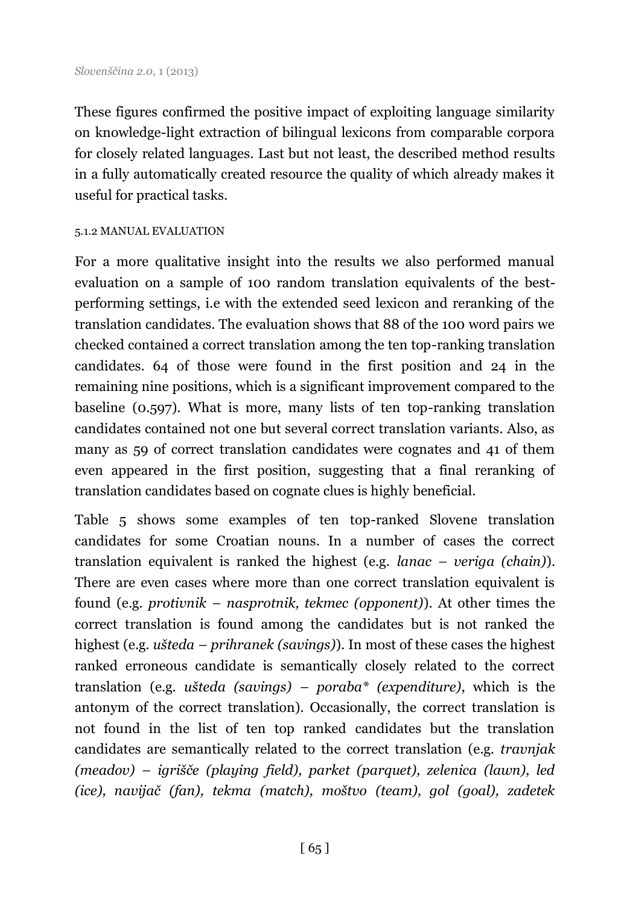These figures confirmed the positive impact of exploiting language similarity on knowledge-light extraction of bilingual lexicons from comparable corpora for closely related languages. Last but not least, the described method results in a fully automatically created resource the quality of which already makes it useful for practical tasks.

#### 5.1.2 MANUAL EVALUATION

For a more qualitative insight into the results we also performed manual evaluation on a sample of 100 random translation equivalents of the bestperforming settings, i.e with the extended seed lexicon and reranking of the translation candidates. The evaluation shows that 88 of the 100 word pairs we checked contained a correct translation among the ten top-ranking translation candidates. 64 of those were found in the first position and 24 in the remaining nine positions, which is a significant improvement compared to the baseline (0.597). What is more, many lists of ten top-ranking translation candidates contained not one but several correct translation variants. Also, as many as 59 of correct translation candidates were cognates and 41 of them even appeared in the first position, suggesting that a final reranking of translation candidates based on cognate clues is highly beneficial.

Table 5 shows some examples of ten top-ranked Slovene translation candidates for some Croatian nouns. In a number of cases the correct translation equivalent is ranked the highest (e.g. *lanac – veriga (chain)*). There are even cases where more than one correct translation equivalent is found (e.g. *protivnik – nasprotnik, tekmec (opponent)*). At other times the correct translation is found among the candidates but is not ranked the highest (e.g. *ušteda – prihranek (savings)*). In most of these cases the highest ranked erroneous candidate is semantically closely related to the correct translation (e.g. *ušteda (savings) – poraba\* (expenditure)*, which is the antonym of the correct translation). Occasionally, the correct translation is not found in the list of ten top ranked candidates but the translation candidates are semantically related to the correct translation (e.g. *travnjak (meadov) – igrišče (playing field), parket (parquet), zelenica (lawn), led (ice), navijač (fan), tekma (match), moštvo (team), gol (goal), zadetek*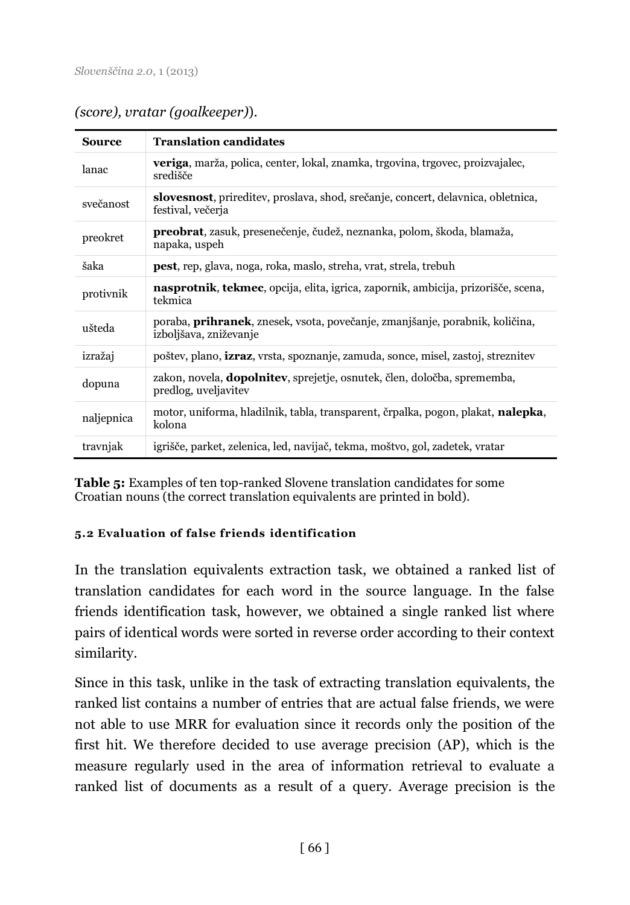| <b>Source</b> | <b>Translation candidates</b>                                                                                  |
|---------------|----------------------------------------------------------------------------------------------------------------|
| lanac         | <b>veriga</b> , marža, polica, center, lokal, znamka, trgovina, trgovec, proizvajalec,<br>središče             |
| svečanost     | slovesnost, prireditev, proslava, shod, srečanje, concert, delavnica, obletnica,<br>festival, večerja          |
| preokret      | <b>preobrat</b> , zasuk, presenečenje, čudež, neznanka, polom, škoda, blamaža,<br>napaka, uspeh                |
| šaka          | <b>pest</b> , rep, glava, noga, roka, maslo, streha, vrat, strela, trebuh                                      |
| protivnik     | <b>nasprotnik, tekmec,</b> opcija, elita, igrica, zapornik, ambicija, prizorišče, scena,<br>tekmica            |
| ušteda        | poraba, <b>prihranek</b> , znesek, vsota, povečanje, zmanjšanje, porabnik, količina,<br>izboljšava, zniževanje |
| izražaj       | poštev, plano, <b>izraz</b> , vrsta, spoznanje, zamuda, sonce, misel, zastoj, streznitev                       |
| dopuna        | zakon, novela, <b>dopolnitev</b> , sprejetje, osnutek, člen, določba, sprememba,<br>predlog, uveljavitev       |
| naljepnica    | motor, uniforma, hladilnik, tabla, transparent, črpalka, pogon, plakat, <b>nalepka</b> ,<br>kolona             |
| travnjak      | igrišče, parket, zelenica, led, navijač, tekma, moštvo, gol, zadetek, vratar                                   |

*(score), vratar (goalkeeper)*).

**Table 5:** Examples of ten top-ranked Slovene translation candidates for some Croatian nouns (the correct translation equivalents are printed in bold).

### **5.2 Evaluation of false friends identification**

In the translation equivalents extraction task, we obtained a ranked list of translation candidates for each word in the source language. In the false friends identification task, however, we obtained a single ranked list where pairs of identical words were sorted in reverse order according to their context similarity.

Since in this task, unlike in the task of extracting translation equivalents, the ranked list contains a number of entries that are actual false friends, we were not able to use MRR for evaluation since it records only the position of the first hit. We therefore decided to use average precision (AP), which is the measure regularly used in the area of information retrieval to evaluate a ranked list of documents as a result of a query. Average precision is the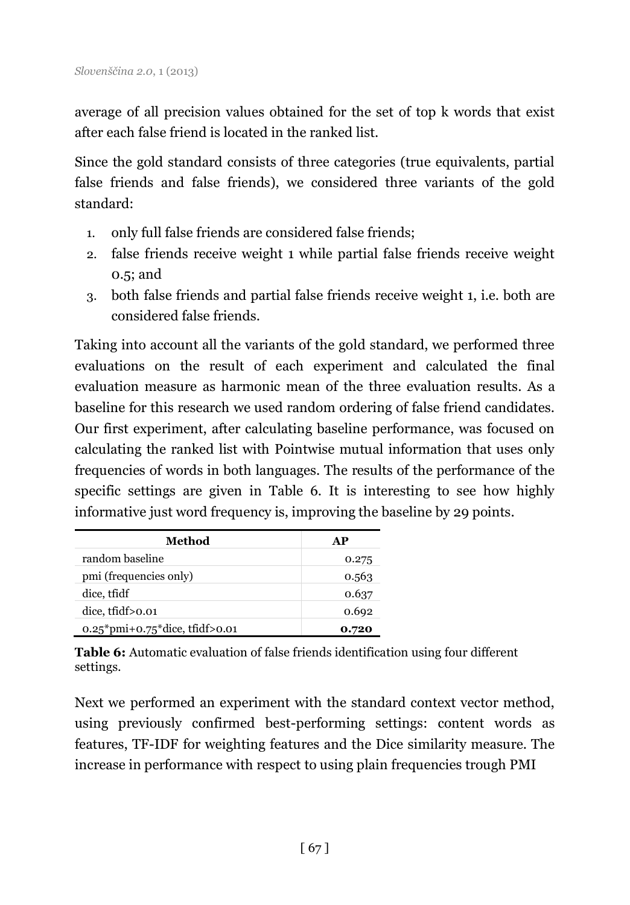average of all precision values obtained for the set of top k words that exist after each false friend is located in the ranked list.

Since the gold standard consists of three categories (true equivalents, partial false friends and false friends), we considered three variants of the gold standard:

- 1. only full false friends are considered false friends;
- 2. false friends receive weight 1 while partial false friends receive weight 0.5; and
- 3. both false friends and partial false friends receive weight 1, i.e. both are considered false friends.

Taking into account all the variants of the gold standard, we performed three evaluations on the result of each experiment and calculated the final evaluation measure as harmonic mean of the three evaluation results. As a baseline for this research we used random ordering of false friend candidates. Our first experiment, after calculating baseline performance, was focused on calculating the ranked list with Pointwise mutual information that uses only frequencies of words in both languages. The results of the performance of the specific settings are given in Table 6. It is interesting to see how highly informative just word frequency is, improving the baseline by 29 points.

| Method                           | AP    |
|----------------------------------|-------|
| random baseline                  | 0.275 |
| pmi (frequencies only)           | 0.563 |
| dice, tfidf                      | 0.637 |
| dice, tfidf > 0.01               | 0.692 |
| $0.25*pmi+0.75*dice, tfidf>0.01$ | 0.720 |

**Table 6:** Automatic evaluation of false friends identification using four different settings.

Next we performed an experiment with the standard context vector method, using previously confirmed best-performing settings: content words as features, TF-IDF for weighting features and the Dice similarity measure. The increase in performance with respect to using plain frequencies trough PMI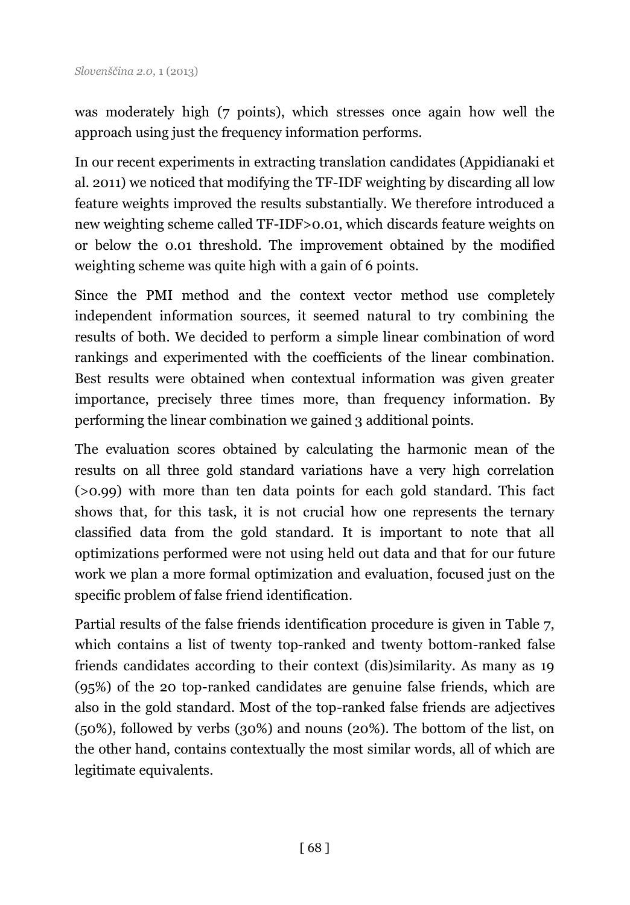was moderately high (7 points), which stresses once again how well the approach using just the frequency information performs.

In our recent experiments in extracting translation candidates (Appidianaki et al. 2011) we noticed that modifying the TF-IDF weighting by discarding all low feature weights improved the results substantially. We therefore introduced a new weighting scheme called TF-IDF>0.01, which discards feature weights on or below the 0.01 threshold. The improvement obtained by the modified weighting scheme was quite high with a gain of 6 points.

Since the PMI method and the context vector method use completely independent information sources, it seemed natural to try combining the results of both. We decided to perform a simple linear combination of word rankings and experimented with the coefficients of the linear combination. Best results were obtained when contextual information was given greater importance, precisely three times more, than frequency information. By performing the linear combination we gained 3 additional points.

The evaluation scores obtained by calculating the harmonic mean of the results on all three gold standard variations have a very high correlation (>0.99) with more than ten data points for each gold standard. This fact shows that, for this task, it is not crucial how one represents the ternary classified data from the gold standard. It is important to note that all optimizations performed were not using held out data and that for our future work we plan a more formal optimization and evaluation, focused just on the specific problem of false friend identification.

Partial results of the false friends identification procedure is given in Table 7, which contains a list of twenty top-ranked and twenty bottom-ranked false friends candidates according to their context (dis)similarity. As many as 19 (95%) of the 20 top-ranked candidates are genuine false friends, which are also in the gold standard. Most of the top-ranked false friends are adjectives (50%), followed by verbs (30%) and nouns (20%). The bottom of the list, on the other hand, contains contextually the most similar words, all of which are legitimate equivalents.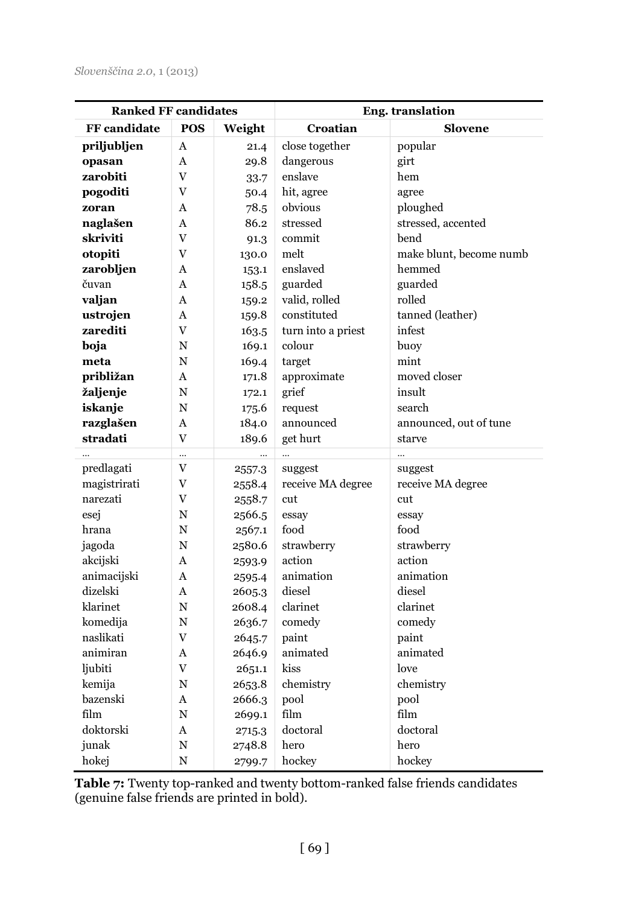| <b>Ranked FF candidates</b> |                | Eng. translation |                    |                         |
|-----------------------------|----------------|------------------|--------------------|-------------------------|
| <b>FF</b> candidate         | POS            | Weight           | Croatian           | <b>Slovene</b>          |
| priljubljen                 | A              | 21.4             | close together     | popular                 |
| opasan                      | A              | 29.8             | dangerous          | girt                    |
| zarobiti                    | V              | 33.7             | enslave            | hem                     |
| pogoditi                    | V              | 50.4             | hit, agree         | agree                   |
| zoran                       | A              | 78.5             | obvious            | ploughed                |
| naglašen                    | A              | 86.2             | stressed           | stressed, accented      |
| skriviti                    | V              | 91.3             | commit             | bend                    |
| otopiti                     | V              | 130.0            | melt               | make blunt, become numb |
| zarobljen                   | A              | 153.1            | enslaved           | hemmed                  |
| čuvan                       | A              | 158.5            | guarded            | guarded                 |
| valjan                      | A              | 159.2            | valid, rolled      | rolled                  |
| ustrojen                    | A              | 159.8            | constituted        | tanned (leather)        |
| zarediti                    | V              | 163.5            | turn into a priest | infest                  |
| boja                        | N              | 169.1            | colour             | buoy                    |
| meta                        | N              | 169.4            | target             | mint                    |
| približan                   | A              | 171.8            | approximate        | moved closer            |
| žaljenje                    | N              | 172.1            | grief              | insult                  |
| iskanje                     | N              | 175.6            | request            | search                  |
| razglašen                   | A              | 184.0            | announced          | announced, out of tune  |
| stradati                    | $\overline{V}$ | 189.6            | get hurt           | starve                  |
| $\ddotsc$                   |                |                  | $\ddots$           |                         |
| predlagati                  | V              | 2557.3           | suggest            | suggest                 |
| magistrirati                | V              | 2558.4           | receive MA degree  | receive MA degree       |
| narezati                    | V              | 2558.7           | cut                | cut                     |
| esej                        | N              | 2566.5           | essay              | essay                   |
| hrana                       | N              | 2567.1           | food               | food                    |
| jagoda                      | N              | 2580.6           | strawberry         | strawberry              |
| akcijski                    | A              | 2593.9           | action             | action                  |
| animacijski                 | A              | 2595.4           | animation          | animation               |
| dizelski                    | A              | 2605.3           | diesel             | diesel                  |
| klarinet                    | N              | 2608.4           | clarinet           | clarinet                |
| komedija                    | N              | 2636.7           | comedy             | comedy                  |
| naslikati                   | V              | 2645.7           | paint              | paint                   |
| animiran                    | A              | 2646.9           | animated           | animated                |
| ljubiti                     | V              | 2651.1           | kiss               | love                    |
| kemija                      | N              | 2653.8           | chemistry          | chemistry               |
| bazenski                    | A              | 2666.3           | pool               | pool                    |
| film                        | N              | 2699.1           | film               | film                    |
| doktorski                   | A              | 2715.3           | doctoral           | doctoral                |
| junak                       | N              | 2748.8           | hero               | hero                    |
| hokej                       | N              | 2799.7           | hockey             | hockey                  |

**Table 7:** Twenty top-ranked and twenty bottom-ranked false friends candidates (genuine false friends are printed in bold).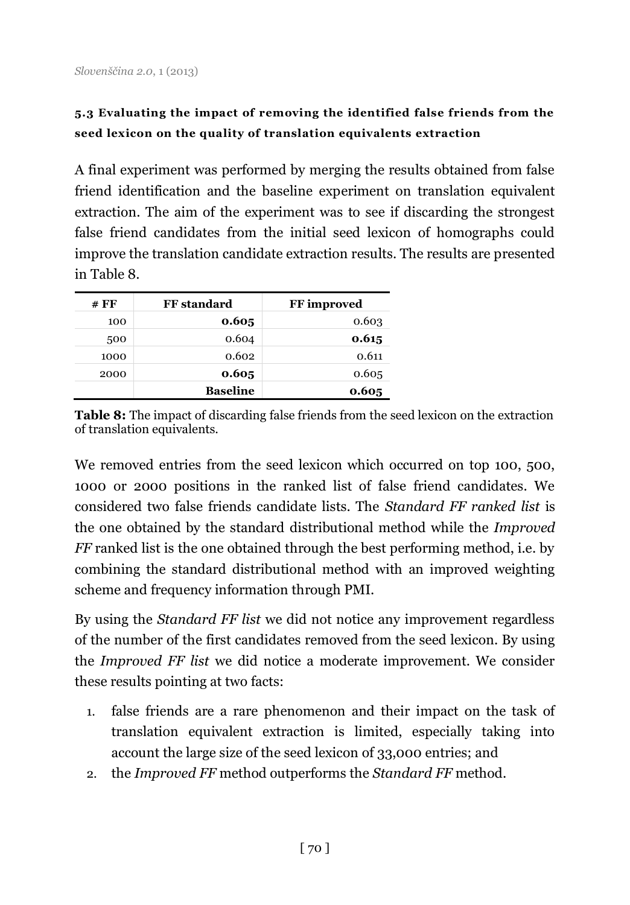## **5.3 Evaluating the impact of removing the identified false friends from the seed lexicon on the quality of translation equivalents extraction**

A final experiment was performed by merging the results obtained from false friend identification and the baseline experiment on translation equivalent extraction. The aim of the experiment was to see if discarding the strongest false friend candidates from the initial seed lexicon of homographs could improve the translation candidate extraction results. The results are presented in Table 8.

| # FF | <b>FF</b> standard | FF improved |
|------|--------------------|-------------|
| 100  | 0.605              | 0.603       |
| 500  | 0.604              | 0.615       |
| 1000 | 0.602              | 0.611       |
| 2000 | 0.605              | 0.605       |
|      | <b>Baseline</b>    | 0.605       |

**Table 8:** The impact of discarding false friends from the seed lexicon on the extraction of translation equivalents.

We removed entries from the seed lexicon which occurred on top 100, 500, 1000 or 2000 positions in the ranked list of false friend candidates. We considered two false friends candidate lists. The *Standard FF ranked list* is the one obtained by the standard distributional method while the *Improved FF* ranked list is the one obtained through the best performing method, i.e. by combining the standard distributional method with an improved weighting scheme and frequency information through PMI.

By using the *Standard FF list* we did not notice any improvement regardless of the number of the first candidates removed from the seed lexicon. By using the *Improved FF list* we did notice a moderate improvement. We consider these results pointing at two facts:

- 1. false friends are a rare phenomenon and their impact on the task of translation equivalent extraction is limited, especially taking into account the large size of the seed lexicon of 33,000 entries; and
- 2. the *Improved FF* method outperforms the *Standard FF* method.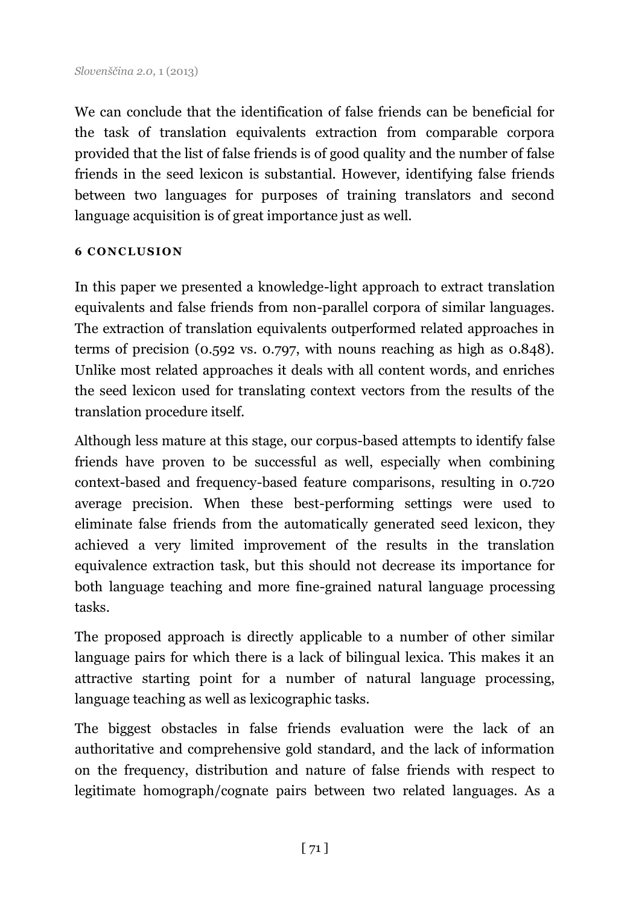We can conclude that the identification of false friends can be beneficial for the task of translation equivalents extraction from comparable corpora provided that the list of false friends is of good quality and the number of false friends in the seed lexicon is substantial. However, identifying false friends between two languages for purposes of training translators and second language acquisition is of great importance just as well.

#### **6 C O N C LUSI O N**

In this paper we presented a knowledge-light approach to extract translation equivalents and false friends from non-parallel corpora of similar languages. The extraction of translation equivalents outperformed related approaches in terms of precision (0.592 vs. 0.797, with nouns reaching as high as 0.848). Unlike most related approaches it deals with all content words, and enriches the seed lexicon used for translating context vectors from the results of the translation procedure itself.

Although less mature at this stage, our corpus-based attempts to identify false friends have proven to be successful as well, especially when combining context-based and frequency-based feature comparisons, resulting in 0.720 average precision. When these best-performing settings were used to eliminate false friends from the automatically generated seed lexicon, they achieved a very limited improvement of the results in the translation equivalence extraction task, but this should not decrease its importance for both language teaching and more fine-grained natural language processing tasks.

The proposed approach is directly applicable to a number of other similar language pairs for which there is a lack of bilingual lexica. This makes it an attractive starting point for a number of natural language processing, language teaching as well as lexicographic tasks.

The biggest obstacles in false friends evaluation were the lack of an authoritative and comprehensive gold standard, and the lack of information on the frequency, distribution and nature of false friends with respect to legitimate homograph/cognate pairs between two related languages. As a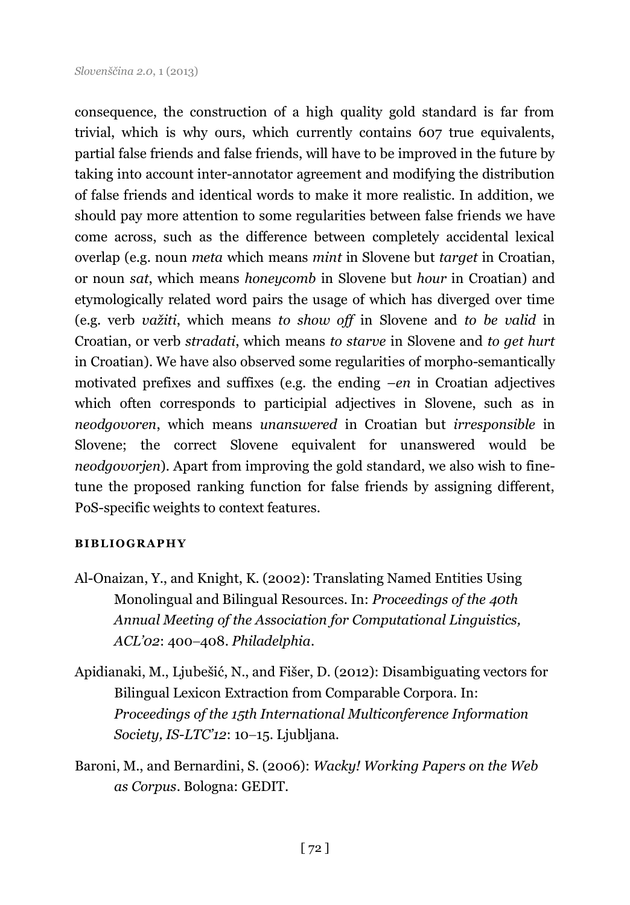consequence, the construction of a high quality gold standard is far from trivial, which is why ours, which currently contains 607 true equivalents, partial false friends and false friends, will have to be improved in the future by taking into account inter-annotator agreement and modifying the distribution of false friends and identical words to make it more realistic. In addition, we should pay more attention to some regularities between false friends we have come across, such as the difference between completely accidental lexical overlap (e.g. noun *meta* which means *mint* in Slovene but *target* in Croatian, or noun *sat*, which means *honeycomb* in Slovene but *hour* in Croatian) and etymologically related word pairs the usage of which has diverged over time (e.g. verb *važiti*, which means *to show off* in Slovene and *to be valid* in Croatian, or verb *stradati*, which means *to starve* in Slovene and *to get hurt*  in Croatian). We have also observed some regularities of morpho-semantically motivated prefixes and suffixes (e.g. the ending *–en* in Croatian adjectives which often corresponds to participial adjectives in Slovene, such as in *neodgovoren*, which means *unanswered* in Croatian but *irresponsible* in Slovene; the correct Slovene equivalent for unanswered would be *neodgovorjen*). Apart from improving the gold standard, we also wish to finetune the proposed ranking function for false friends by assigning different, PoS-specific weights to context features.

#### **BI BLI O GR APH Y**

- Al-Onaizan, Y., and Knight, K. (2002): Translating Named Entities Using Monolingual and Bilingual Resources. In: *Proceedings of the 40th Annual Meeting of the Association for Computational Linguistics, ACL'02*: 400408. *Philadelphia*.
- Apidianaki, M., Ljubešić, N., and Fišer, D. (2012): Disambiguating vectors for Bilingual Lexicon Extraction from Comparable Corpora. In: *Proceedings of the 15th International Multiconference Information Society, IS-LTC'12*: 10–15. Ljubljana.
- Baroni, M., and Bernardini, S. (2006): *Wacky! Working Papers on the Web as Corpus*. Bologna: GEDIT.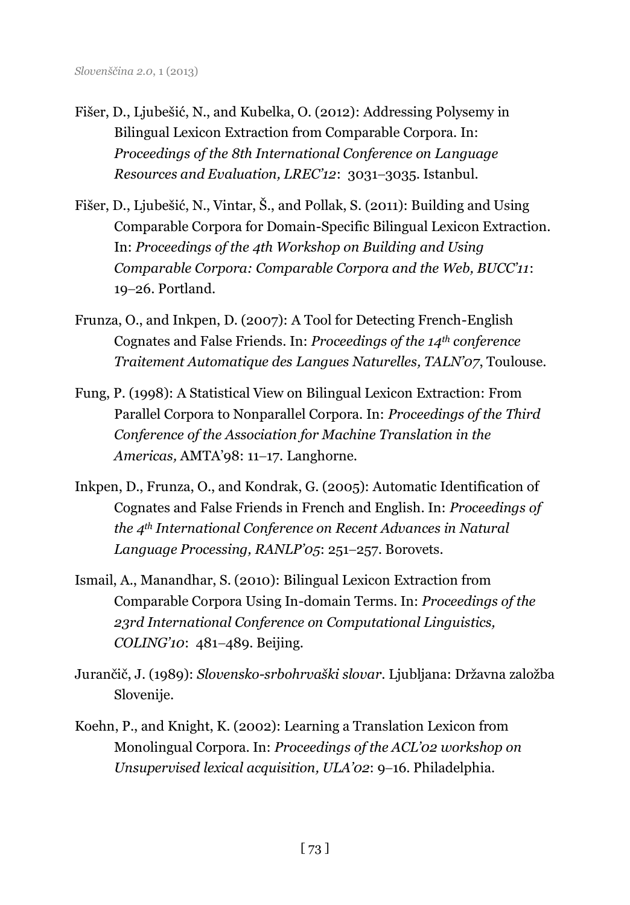- Fišer, D., Ljubešić, N., and Kubelka, O. (2012): Addressing Polysemy in Bilingual Lexicon Extraction from Comparable Corpora. In: *Proceedings of the 8th International Conference on Language Resources and Evaluation, LREC'12:* 3031-3035. Istanbul.
- Fišer, D., Ljubešić, N., Vintar, Š., and Pollak, S. (2011): Building and Using Comparable Corpora for Domain-Specific Bilingual Lexicon Extraction. In: *Proceedings of the 4th Workshop on Building and Using Comparable Corpora: Comparable Corpora and the Web, BUCC'11*: 19-26. Portland.
- Frunza, O., and Inkpen, D. (2007): A Tool for Detecting French-English Cognates and False Friends. In: *Proceedings of the 14th conference Traitement Automatique des Langues Naturelles, TALN'07*, Toulouse.
- Fung, P. (1998): A Statistical View on Bilingual Lexicon Extraction: From Parallel Corpora to Nonparallel Corpora. In: *Proceedings of the Third Conference of the Association for Machine Translation in the Americas, AMTA'98: 11-17. Langhorne.*
- Inkpen, D., Frunza, O., and Kondrak, G. (2005): Automatic Identification of Cognates and False Friends in French and English. In: *Proceedings of the 4th International Conference on Recent Advances in Natural*  Language Processing, RANLP'05: 251-257. Borovets.
- Ismail, A., Manandhar, S. (2010): Bilingual Lexicon Extraction from Comparable Corpora Using In-domain Terms. In: *Proceedings of the 23rd International Conference on Computational Linguistics, COLING'10*: 481-489. Beijing.
- Jurančič, J. (1989): *Slovensko-srbohrvaški slovar*. Ljubljana: Državna založba Slovenije.
- Koehn, P., and Knight, K. (2002): Learning a Translation Lexicon from Monolingual Corpora. In: *Proceedings of the ACL'02 workshop on Unsupervised lexical acquisition, ULA'* $O2$ : 9-16. Philadelphia.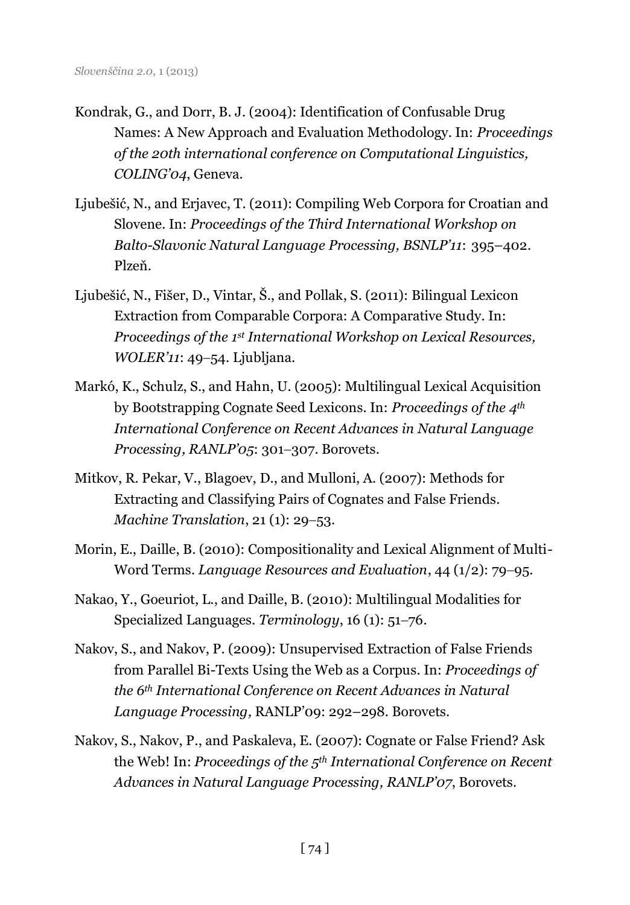- Kondrak, G., and Dorr, B. J. (2004): Identification of Confusable Drug Names: A New Approach and Evaluation Methodology. In: *Proceedings of the 20th international conference on Computational Linguistics, COLING'04*, Geneva.
- Ljubešić, N., and Erjavec, T. (2011): Compiling Web Corpora for Croatian and Slovene. In: *Proceedings of the Third International Workshop on Balto-Slavonic Natural Language Processing, BSNLP'11*: 395–402. Plzeň.
- Ljubešić, N., Fišer, D., Vintar, Š., and Pollak, S. (2011): Bilingual Lexicon Extraction from Comparable Corpora: A Comparative Study. In: *Proceedings of the 1st International Workshop on Lexical Resources, WOLER'11*: 49-54. Ljubljana.
- Markó, K., Schulz, S., and Hahn, U. (2005): Multilingual Lexical Acquisition by Bootstrapping Cognate Seed Lexicons. In: *Proceedings of the 4th International Conference on Recent Advances in Natural Language Processing, RANLP'05: 301-307. Borovets.*
- Mitkov, R. Pekar, V., Blagoev, D., and Mulloni, A. (2007): Methods for Extracting and Classifying Pairs of Cognates and False Friends. *Machine Translation*, 21(1): 29–53.
- Morin, E., Daille, B. (2010): Compositionality and Lexical Alignment of Multi-Word Terms. *Language Resources and Evaluation*, 44 (1/2): 79–95.
- Nakao, Y., Goeuriot, L., and Daille, B. (2010): Multilingual Modalities for Specialized Languages. *Terminology*, 16 (1): 51–76.
- Nakov, S., and Nakov, P. (2009): Unsupervised Extraction of False Friends from Parallel Bi-Texts Using the Web as a Corpus. In: *Proceedings of the 6th International Conference on Recent Advances in Natural Language Processing,* RANLP'09: 292–298. Borovets.
- Nakov, S., Nakov, P., and Paskaleva, E. (2007): Cognate or False Friend? Ask the Web! In: *Proceedings of the 5th International Conference on Recent Advances in Natural Language Processing, RANLP'07*, Borovets.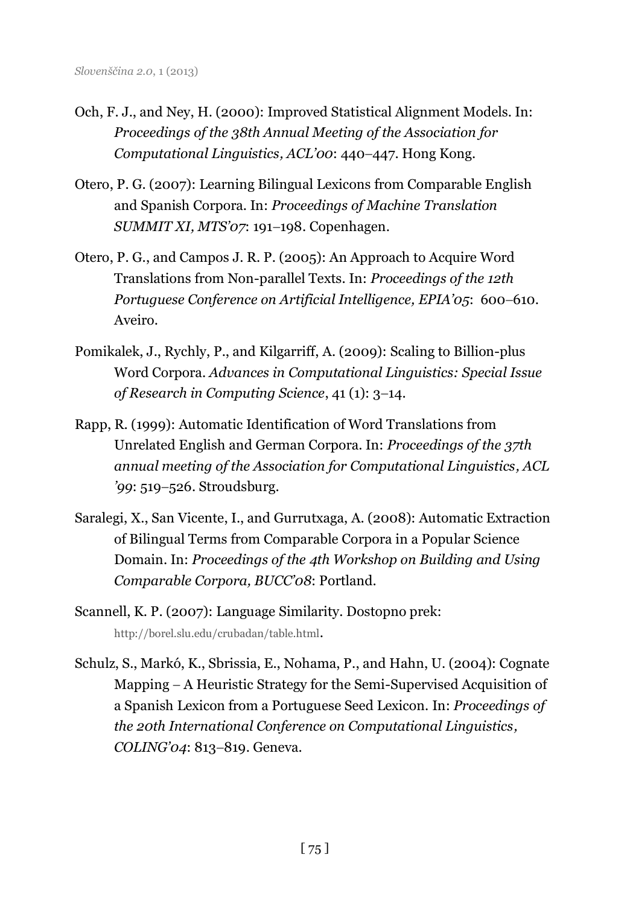- Och, F. J., and Ney, H. (2000): Improved Statistical Alignment Models. In: *Proceedings of the 38th Annual Meeting of the Association for Computational Linguistics, ACL'00: 440-447. Hong Kong.*
- Otero, P. G. (2007): Learning Bilingual Lexicons from Comparable English and Spanish Corpora. In: *Proceedings of Machine Translation SUMMIT XI, MTS'07*: 191-198. Copenhagen.
- Otero, P. G., and Campos J. R. P. (2005): An Approach to Acquire Word Translations from Non-parallel Texts. In: *Proceedings of the 12th Portuguese Conference on Artificial Intelligence, EPIA'05: 600-610.* Aveiro.
- Pomikalek, J., Rychly, P., and Kilgarriff, A. (2009): [Scaling to Billion-plus](http://www.kilgarriff.co.uk/Publications/2009-PomikalekRychlyKilg-MexJournal-ScalingUp.pdf)  [Word Corpora.](http://www.kilgarriff.co.uk/Publications/2009-PomikalekRychlyKilg-MexJournal-ScalingUp.pdf) *Advances in Computational Linguistics: Special Issue of Research in Computing Science*, 41 (1): 3-14.
- Rapp, R. (1999): Automatic Identification of Word Translations from Unrelated English and German Corpora. In: *Proceedings of the 37th annual meeting of the Association for Computational Linguistics, ACL '99*: 519–526. Stroudsburg.
- Saralegi, X., San Vicente, I., and Gurrutxaga, A. (2008): Automatic Extraction of Bilingual Terms from Comparable Corpora in a Popular Science Domain. In: *Proceedings of the 4th Workshop on Building and Using Comparable Corpora, BUCC'08*: Portland.
- Scannell, K. P. (2007): Language Similarity. Dostopno prek: <http://borel.slu.edu/crubadan/table.html>.
- Schulz, S., Markó, K., Sbrissia, E., Nohama, P., and Hahn, U. (2004): Cognate Mapping  $-A$  Heuristic Strategy for the Semi-Supervised Acquisition of a Spanish Lexicon from a Portuguese Seed Lexicon. In: *Proceedings of the 20th International Conference on Computational Linguistics, COLING'04*: 813-819. Geneva.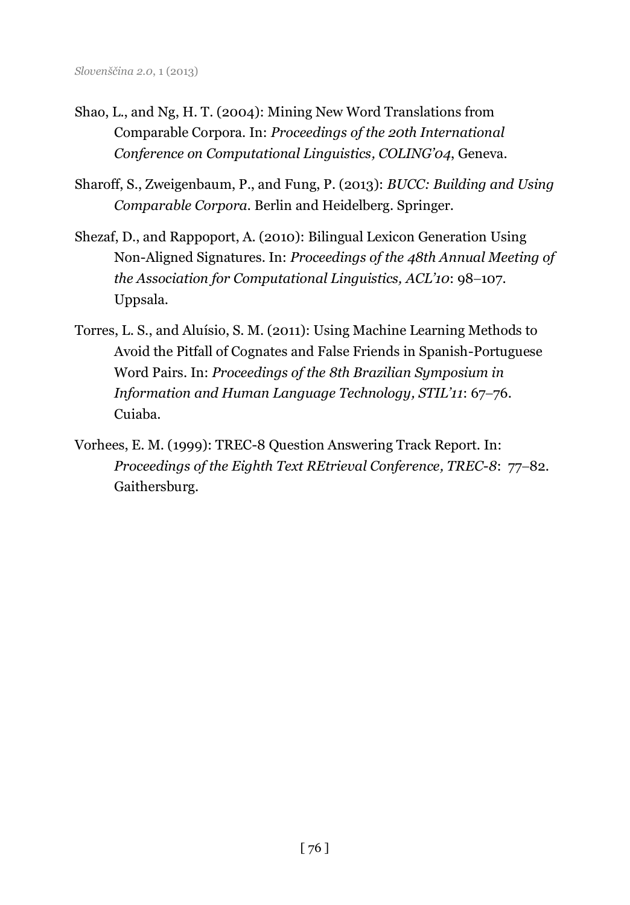- Shao, L., and Ng, H. T. (2004): Mining New Word Translations from Comparable Corpora. In: *Proceedings of the 20th International Conference on Computational Linguistics, COLING'04*, Geneva.
- Sharoff, S., Zweigenbaum, P., and Fung, P. (2013): *BUCC: Building and Using Comparable Corpora.* Berlin and Heidelberg. Springer.
- Shezaf, D., and Rappoport, A. (2010): Bilingual Lexicon Generation Using Non-Aligned Signatures. In: *Proceedings of the 48th Annual Meeting of the Association for Computational Linguistics, ACL'10:* 98-107. Uppsala.
- Torres, L. S., and Aluísio, S. M. (2011): Using Machine Learning Methods to Avoid the Pitfall of Cognates and False Friends in Spanish-Portuguese Word Pairs. In: *Proceedings of the 8th Brazilian Symposium in Information and Human Language Technology, STIL'11: 67-76.* Cuiaba.
- Vorhees, E. M. (1999): TREC-8 Question Answering Track Report. In: *Proceedings of the Eighth Text REtrieval Conference, TREC-8: 77-82.* Gaithersburg.